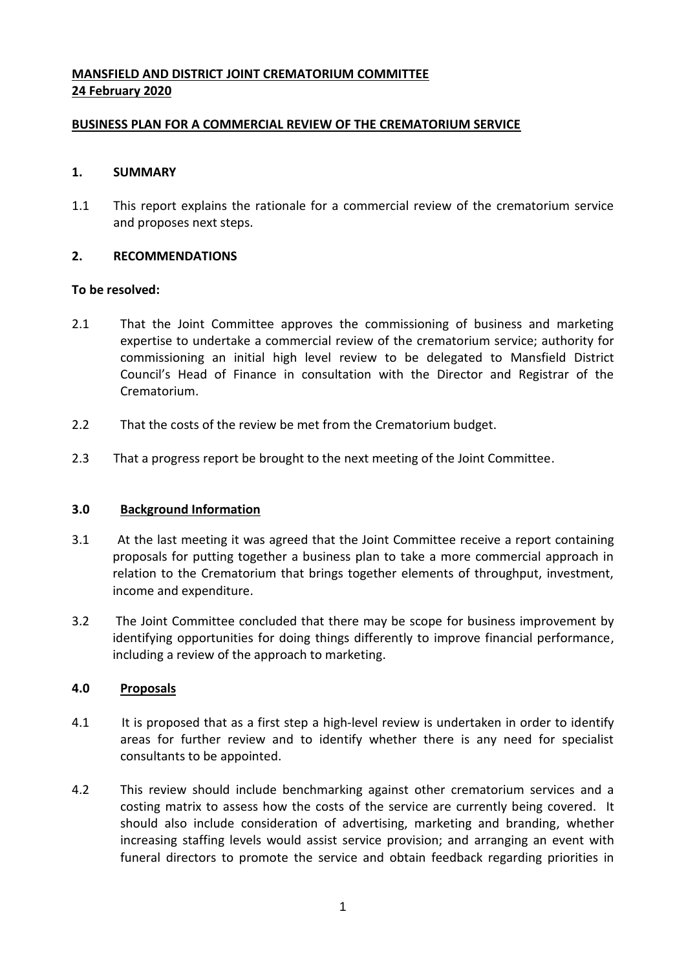# **MANSFIELD AND DISTRICT JOINT CREMATORIUM COMMITTEE 24 February 2020**

## **BUSINESS PLAN FOR A COMMERCIAL REVIEW OF THE CREMATORIUM SERVICE**

## **1. SUMMARY**

1.1 This report explains the rationale for a commercial review of the crematorium service and proposes next steps.

## **2. RECOMMENDATIONS**

#### **To be resolved:**

- 2.1 That the Joint Committee approves the commissioning of business and marketing expertise to undertake a commercial review of the crematorium service; authority for commissioning an initial high level review to be delegated to Mansfield District Council's Head of Finance in consultation with the Director and Registrar of the Crematorium.
- 2.2 That the costs of the review be met from the Crematorium budget.
- 2.3 That a progress report be brought to the next meeting of the Joint Committee.

## **3.0 Background Information**

- 3.1 At the last meeting it was agreed that the Joint Committee receive a report containing proposals for putting together a business plan to take a more commercial approach in relation to the Crematorium that brings together elements of throughput, investment, income and expenditure.
- 3.2 The Joint Committee concluded that there may be scope for business improvement by identifying opportunities for doing things differently to improve financial performance, including a review of the approach to marketing.

#### **4.0 Proposals**

- 4.1 It is proposed that as a first step a high-level review is undertaken in order to identify areas for further review and to identify whether there is any need for specialist consultants to be appointed.
- 4.2 This review should include benchmarking against other crematorium services and a costing matrix to assess how the costs of the service are currently being covered. It should also include consideration of advertising, marketing and branding, whether increasing staffing levels would assist service provision; and arranging an event with funeral directors to promote the service and obtain feedback regarding priorities in